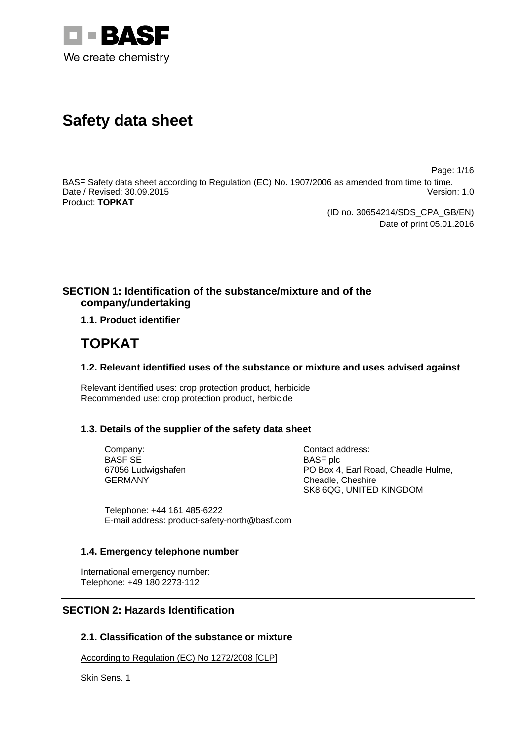

# **Safety data sheet**

Page: 1/16

BASF Safety data sheet according to Regulation (EC) No. 1907/2006 as amended from time to time. Date / Revised: 30.09.2015 Version: 1.0 Product: **TOPKAT**

> (ID no. 30654214/SDS\_CPA\_GB/EN) Date of print 05.01.2016

# **SECTION 1: Identification of the substance/mixture and of the company/undertaking**

**1.1. Product identifier**

# **TOPKAT**

## **1.2. Relevant identified uses of the substance or mixture and uses advised against**

Relevant identified uses: crop protection product, herbicide Recommended use: crop protection product, herbicide

## **1.3. Details of the supplier of the safety data sheet**

Company: BASF SE 67056 Ludwigshafen GERMANY

Contact address: BASF plc PO Box 4, Earl Road, Cheadle Hulme, Cheadle, Cheshire SK8 6QG, UNITED KINGDOM

Telephone: +44 161 485-6222 E-mail address: product-safety-north@basf.com

## **1.4. Emergency telephone number**

International emergency number: Telephone: +49 180 2273-112

# **SECTION 2: Hazards Identification**

## **2.1. Classification of the substance or mixture**

According to Regulation (EC) No 1272/2008 [CLP]

Skin Sens. 1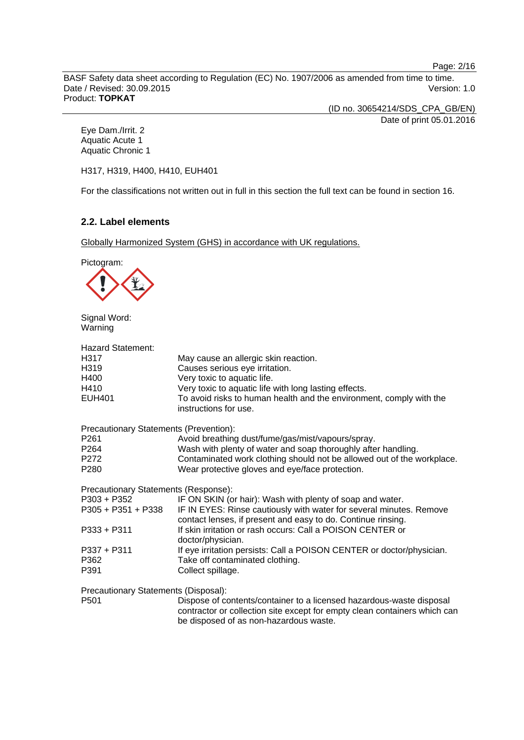Page: 2/16

BASF Safety data sheet according to Regulation (EC) No. 1907/2006 as amended from time to time. Date / Revised: 30.09.2015 Version: 1.0 Product: **TOPKAT**

(ID no. 30654214/SDS\_CPA\_GB/EN)

Date of print 05.01.2016

Eye Dam./Irrit. 2 Aquatic Acute 1 Aquatic Chronic 1

H317, H319, H400, H410, EUH401

For the classifications not written out in full in this section the full text can be found in section 16.

## **2.2. Label elements**

Globally Harmonized System (GHS) in accordance with UK regulations.

Pictogram:



Signal Word: Warning

| <b>Hazard Statement:</b>               |                                                                                                                                     |
|----------------------------------------|-------------------------------------------------------------------------------------------------------------------------------------|
| H317                                   | May cause an allergic skin reaction.                                                                                                |
| H319                                   | Causes serious eye irritation.                                                                                                      |
| H400                                   | Very toxic to aquatic life.                                                                                                         |
| H410                                   | Very toxic to aquatic life with long lasting effects.                                                                               |
| <b>EUH401</b>                          | To avoid risks to human health and the environment, comply with the<br>instructions for use.                                        |
| Precautionary Statements (Prevention): |                                                                                                                                     |
| P <sub>261</sub>                       | Avoid breathing dust/fume/gas/mist/vapours/spray.                                                                                   |
| P <sub>264</sub>                       | Wash with plenty of water and soap thoroughly after handling.                                                                       |
| P272                                   | Contaminated work clothing should not be allowed out of the workplace.                                                              |
| P <sub>280</sub>                       | Wear protective gloves and eye/face protection.                                                                                     |
| Precautionary Statements (Response):   |                                                                                                                                     |
| P303 + P352                            | IF ON SKIN (or hair): Wash with plenty of soap and water.                                                                           |
| $P305 + P351 + P338$                   | IF IN EYES: Rinse cautiously with water for several minutes. Remove<br>contact lenses, if present and easy to do. Continue rinsing. |
| $P333 + P311$                          | If skin irritation or rash occurs: Call a POISON CENTER or<br>doctor/physician.                                                     |
| $P337 + P311$                          | If eye irritation persists: Call a POISON CENTER or doctor/physician.                                                               |
| P362                                   | Take off contaminated clothing.                                                                                                     |
| P391                                   | Collect spillage.                                                                                                                   |
| Precautionary Statements (Disposal):   |                                                                                                                                     |
| P <sub>501</sub>                       | Dispose of contents/container to a licensed hazardous-waste disposal                                                                |

P501 Dispose of contents/container to a licensed hazardous-waste disposal contractor or collection site except for empty clean containers which can be disposed of as non-hazardous waste.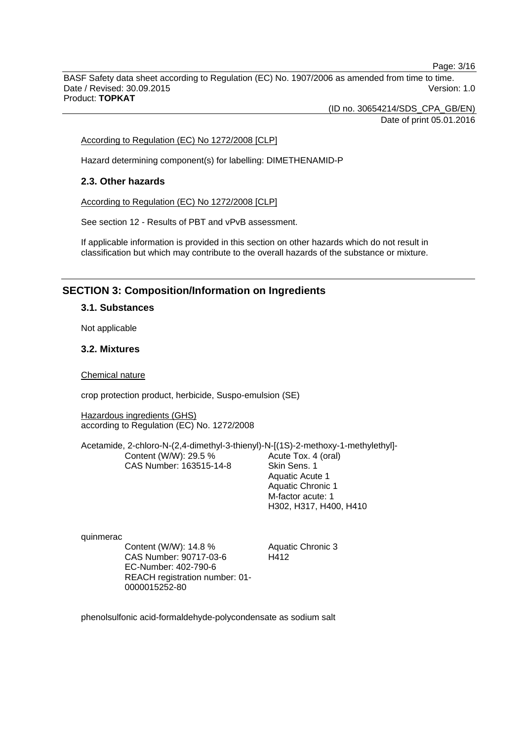Page: 3/16

BASF Safety data sheet according to Regulation (EC) No. 1907/2006 as amended from time to time. Date / Revised: 30.09.2015 Version: 1.0 Product: **TOPKAT**

(ID no. 30654214/SDS\_CPA\_GB/EN)

Date of print 05.01.2016

According to Regulation (EC) No 1272/2008 [CLP]

Hazard determining component(s) for labelling: DIMETHENAMID-P

## **2.3. Other hazards**

According to Regulation (EC) No 1272/2008 [CLP]

See section 12 - Results of PBT and vPvB assessment.

If applicable information is provided in this section on other hazards which do not result in classification but which may contribute to the overall hazards of the substance or mixture.

## **SECTION 3: Composition/Information on Ingredients**

#### **3.1. Substances**

Not applicable

#### **3.2. Mixtures**

Chemical nature

crop protection product, herbicide, Suspo-emulsion (SE)

Hazardous ingredients (GHS) according to Regulation (EC) No. 1272/2008

Acetamide, 2-chloro-N-(2,4-dimethyl-3-thienyl)-N-[(1S)-2-methoxy-1-methylethyl]- Content (W/W): 29.5 % CAS Number: 163515-14-8 Acute Tox. 4 (oral) Skin Sens. 1

Aquatic Acute 1 Aquatic Chronic 1 M-factor acute: 1 H302, H317, H400, H410

quinmerac

Content (W/W): 14.8 % CAS Number: 90717-03-6 EC-Number: 402-790-6 REACH registration number: 01- 0000015252-80

Aquatic Chronic 3 H412

phenolsulfonic acid-formaldehyde-polycondensate as sodium salt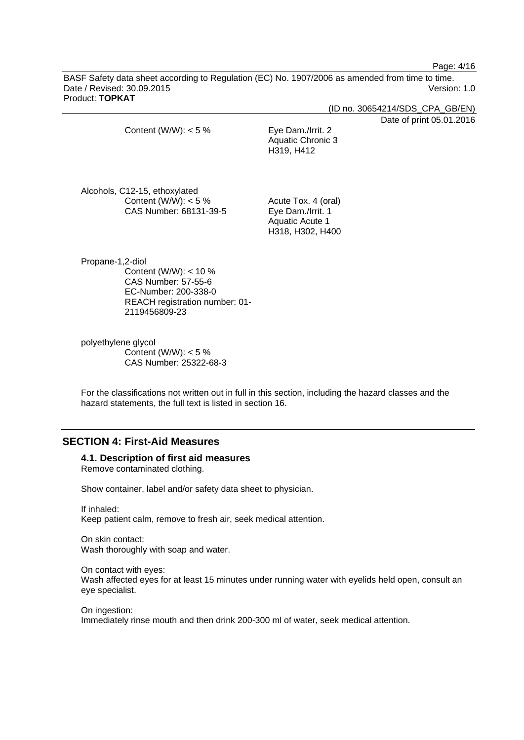Page: 4/16

BASF Safety data sheet according to Regulation (EC) No. 1907/2006 as amended from time to time. Date / Revised: 30.09.2015 Version: 1.0 Product: **TOPKAT**

(ID no. 30654214/SDS\_CPA\_GB/EN)

Date of print 05.01.2016

| Content (W/W): $<$ 5 %                                     | Eye Dam./Irrit. 2<br>Aquatic Chronic 3<br>H319, H412 |
|------------------------------------------------------------|------------------------------------------------------|
| Alcohols, C12-15, ethoxylated<br>Content $(N/M)^{1}$ < 5 % | Acute Tox 4 (oral)                                   |

ent (w//w): < CAS Number: 68131-39-5

Acute Tox. 4 (oral) Eye Dam./Irrit. 1 Aquatic Acute 1 H318, H302, H400

Propane-1,2-diol Content (W/W): < 10 % CAS Number: 57-55-6 EC-Number: 200-338-0 REACH registration number: 01- 2119456809-23

polyethylene glycol Content (W/W):  $< 5 \%$ CAS Number: 25322-68-3

For the classifications not written out in full in this section, including the hazard classes and the hazard statements, the full text is listed in section 16.

## **SECTION 4: First-Aid Measures**

## **4.1. Description of first aid measures**

Remove contaminated clothing.

Show container, label and/or safety data sheet to physician.

If inhaled: Keep patient calm, remove to fresh air, seek medical attention.

On skin contact: Wash thoroughly with soap and water.

On contact with eyes: Wash affected eyes for at least 15 minutes under running water with eyelids held open, consult an eye specialist.

On ingestion: Immediately rinse mouth and then drink 200-300 ml of water, seek medical attention.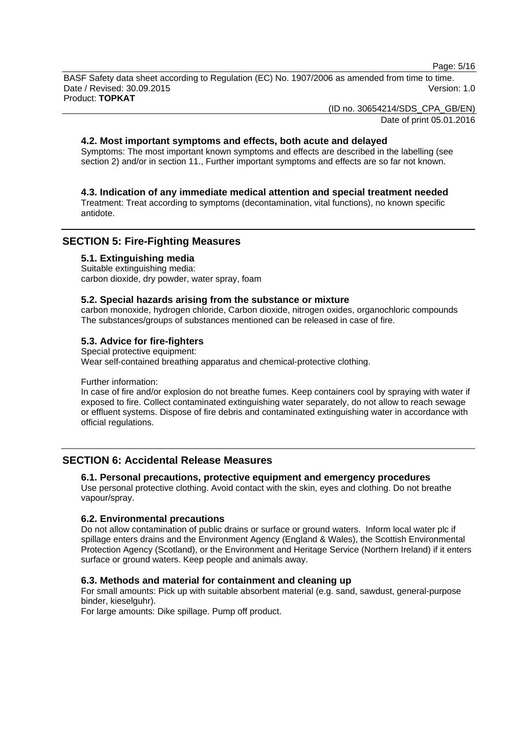Page: 5/16

BASF Safety data sheet according to Regulation (EC) No. 1907/2006 as amended from time to time. Date / Revised: 30.09.2015 Version: 1.0 Product: **TOPKAT**

(ID no. 30654214/SDS\_CPA\_GB/EN)

Date of print 05.01.2016

## **4.2. Most important symptoms and effects, both acute and delayed**

Symptoms: The most important known symptoms and effects are described in the labelling (see section 2) and/or in section 11., Further important symptoms and effects are so far not known.

#### **4.3. Indication of any immediate medical attention and special treatment needed**

Treatment: Treat according to symptoms (decontamination, vital functions), no known specific antidote.

## **SECTION 5: Fire-Fighting Measures**

#### **5.1. Extinguishing media**

Suitable extinguishing media: carbon dioxide, dry powder, water spray, foam

#### **5.2. Special hazards arising from the substance or mixture**

carbon monoxide, hydrogen chloride, Carbon dioxide, nitrogen oxides, organochloric compounds The substances/groups of substances mentioned can be released in case of fire.

## **5.3. Advice for fire-fighters**

Special protective equipment: Wear self-contained breathing apparatus and chemical-protective clothing.

Further information:

In case of fire and/or explosion do not breathe fumes. Keep containers cool by spraying with water if exposed to fire. Collect contaminated extinguishing water separately, do not allow to reach sewage or effluent systems. Dispose of fire debris and contaminated extinguishing water in accordance with official regulations.

## **SECTION 6: Accidental Release Measures**

**6.1. Personal precautions, protective equipment and emergency procedures**

Use personal protective clothing. Avoid contact with the skin, eyes and clothing. Do not breathe vapour/spray.

## **6.2. Environmental precautions**

Do not allow contamination of public drains or surface or ground waters. Inform local water plc if spillage enters drains and the Environment Agency (England & Wales), the Scottish Environmental Protection Agency (Scotland), or the Environment and Heritage Service (Northern Ireland) if it enters surface or ground waters. Keep people and animals away.

## **6.3. Methods and material for containment and cleaning up**

For small amounts: Pick up with suitable absorbent material (e.g. sand, sawdust, general-purpose binder, kieselguhr).

For large amounts: Dike spillage. Pump off product.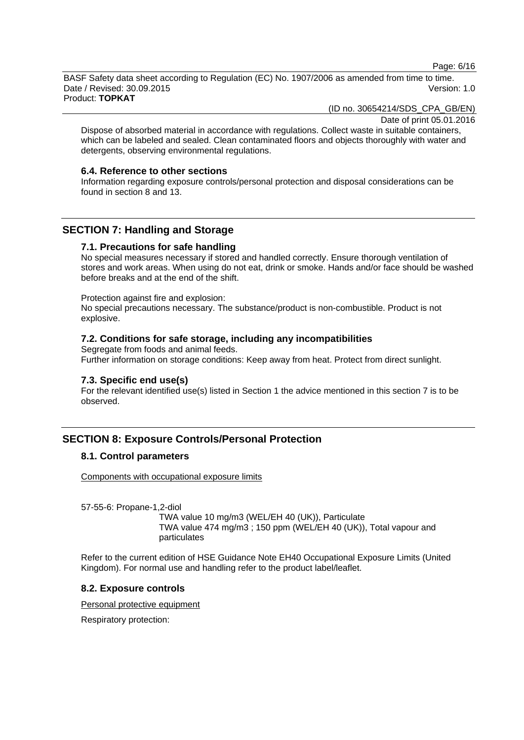Page: 6/16

BASF Safety data sheet according to Regulation (EC) No. 1907/2006 as amended from time to time. Date / Revised: 30.09.2015 Version: 1.0

Product: **TOPKAT**

(ID no. 30654214/SDS\_CPA\_GB/EN)

Date of print 05.01.2016

Dispose of absorbed material in accordance with regulations. Collect waste in suitable containers, which can be labeled and sealed. Clean contaminated floors and objects thoroughly with water and detergents, observing environmental regulations.

#### **6.4. Reference to other sections**

Information regarding exposure controls/personal protection and disposal considerations can be found in section 8 and 13.

## **SECTION 7: Handling and Storage**

## **7.1. Precautions for safe handling**

No special measures necessary if stored and handled correctly. Ensure thorough ventilation of stores and work areas. When using do not eat, drink or smoke. Hands and/or face should be washed before breaks and at the end of the shift.

Protection against fire and explosion:

No special precautions necessary. The substance/product is non-combustible. Product is not explosive.

## **7.2. Conditions for safe storage, including any incompatibilities**

Segregate from foods and animal feeds. Further information on storage conditions: Keep away from heat. Protect from direct sunlight.

## **7.3. Specific end use(s)**

For the relevant identified use(s) listed in Section 1 the advice mentioned in this section 7 is to be observed.

## **SECTION 8: Exposure Controls/Personal Protection**

## **8.1. Control parameters**

Components with occupational exposure limits

57-55-6: Propane-1,2-diol

TWA value 10 mg/m3 (WEL/EH 40 (UK)), Particulate TWA value 474 mg/m3 ; 150 ppm (WEL/EH 40 (UK)), Total vapour and particulates

Refer to the current edition of HSE Guidance Note EH40 Occupational Exposure Limits (United Kingdom). For normal use and handling refer to the product label/leaflet.

#### **8.2. Exposure controls**

Personal protective equipment

Respiratory protection: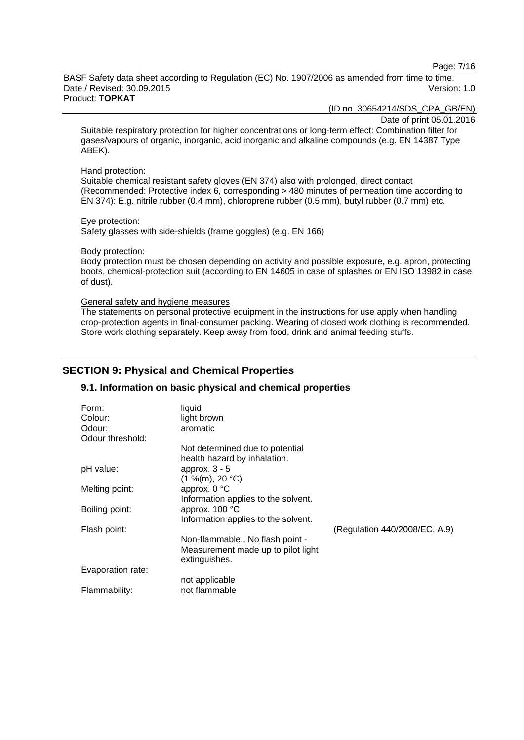Page: 7/16

BASF Safety data sheet according to Regulation (EC) No. 1907/2006 as amended from time to time. Date / Revised: 30.09.2015 Version: 1.0 Product: **TOPKAT**

(ID no. 30654214/SDS\_CPA\_GB/EN)

Date of print 05.01.2016

Suitable respiratory protection for higher concentrations or long-term effect: Combination filter for gases/vapours of organic, inorganic, acid inorganic and alkaline compounds (e.g. EN 14387 Type ABEK).

#### Hand protection:

Suitable chemical resistant safety gloves (EN 374) also with prolonged, direct contact (Recommended: Protective index 6, corresponding > 480 minutes of permeation time according to EN 374): E.g. nitrile rubber (0.4 mm), chloroprene rubber (0.5 mm), butyl rubber (0.7 mm) etc.

Eye protection: Safety glasses with side-shields (frame goggles) (e.g. EN 166)

Body protection:

Body protection must be chosen depending on activity and possible exposure, e.g. apron, protecting boots, chemical-protection suit (according to EN 14605 in case of splashes or EN ISO 13982 in case of dust).

#### General safety and hygiene measures

The statements on personal protective equipment in the instructions for use apply when handling crop-protection agents in final-consumer packing. Wearing of closed work clothing is recommended. Store work clothing separately. Keep away from food, drink and animal feeding stuffs.

## **SECTION 9: Physical and Chemical Properties**

## **9.1. Information on basic physical and chemical properties**

| Form:             | liquid                              |                               |
|-------------------|-------------------------------------|-------------------------------|
| Colour:           | light brown                         |                               |
| Odour:            | aromatic                            |                               |
| Odour threshold:  |                                     |                               |
|                   | Not determined due to potential     |                               |
|                   | health hazard by inhalation.        |                               |
| pH value:         | approx. $3 - 5$                     |                               |
|                   | (1 %(m), 20 °C)                     |                               |
| Melting point:    | approx. 0 °C                        |                               |
|                   | Information applies to the solvent. |                               |
| Boiling point:    | approx. 100 °C                      |                               |
|                   | Information applies to the solvent. |                               |
| Flash point:      |                                     | (Regulation 440/2008/EC, A.9) |
|                   | Non-flammable., No flash point -    |                               |
|                   | Measurement made up to pilot light  |                               |
|                   | extinguishes.                       |                               |
| Evaporation rate: |                                     |                               |
|                   | not applicable                      |                               |
| Flammability:     | not flammable                       |                               |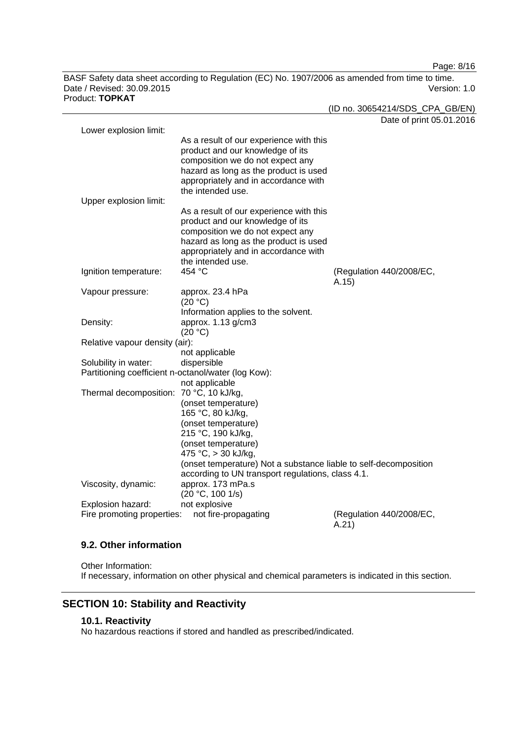Page: 8/16

BASF Safety data sheet according to Regulation (EC) No. 1907/2006 as amended from time to time. Date / Revised: 30.09.2015 Version: 1.0 Product: **TOPKAT**

|                                                     |                                                                  | (ID no. 30654214/SDS_CPA_GB/EN)   |
|-----------------------------------------------------|------------------------------------------------------------------|-----------------------------------|
|                                                     |                                                                  | Date of print 05.01.2016          |
| Lower explosion limit:                              |                                                                  |                                   |
|                                                     | As a result of our experience with this                          |                                   |
|                                                     | product and our knowledge of its                                 |                                   |
|                                                     | composition we do not expect any                                 |                                   |
|                                                     | hazard as long as the product is used                            |                                   |
|                                                     | appropriately and in accordance with                             |                                   |
|                                                     | the intended use.                                                |                                   |
| Upper explosion limit:                              |                                                                  |                                   |
|                                                     | As a result of our experience with this                          |                                   |
|                                                     | product and our knowledge of its                                 |                                   |
|                                                     | composition we do not expect any                                 |                                   |
|                                                     | hazard as long as the product is used                            |                                   |
|                                                     | appropriately and in accordance with                             |                                   |
|                                                     | the intended use.<br>454 °C                                      |                                   |
| Ignition temperature:                               |                                                                  | (Regulation 440/2008/EC,<br>A.15) |
| Vapour pressure:                                    | approx. 23.4 hPa                                                 |                                   |
|                                                     | (20 °C)                                                          |                                   |
|                                                     | Information applies to the solvent.                              |                                   |
| Density:                                            | approx. 1.13 g/cm3                                               |                                   |
|                                                     | (20 °C)                                                          |                                   |
| Relative vapour density (air):                      |                                                                  |                                   |
|                                                     | not applicable                                                   |                                   |
| Solubility in water:                                | dispersible                                                      |                                   |
| Partitioning coefficient n-octanol/water (log Kow): |                                                                  |                                   |
|                                                     | not applicable                                                   |                                   |
| Thermal decomposition: 70 °C, 10 kJ/kg,             |                                                                  |                                   |
|                                                     | (onset temperature)                                              |                                   |
|                                                     | 165 °C, 80 kJ/kg,                                                |                                   |
|                                                     | (onset temperature)                                              |                                   |
|                                                     | 215 °C, 190 kJ/kg,                                               |                                   |
|                                                     | (onset temperature)                                              |                                   |
|                                                     | 475 °C, > 30 kJ/kg,                                              |                                   |
|                                                     | (onset temperature) Not a substance liable to self-decomposition |                                   |
|                                                     | according to UN transport regulations, class 4.1.                |                                   |
| Viscosity, dynamic:                                 | approx. 173 mPa.s                                                |                                   |
|                                                     | (20 °C, 100 1/s)                                                 |                                   |
| Explosion hazard:                                   | not explosive                                                    |                                   |
| Fire promoting properties:                          | not fire-propagating                                             | (Regulation 440/2008/EC,          |
|                                                     |                                                                  | A.21                              |

## **9.2. Other information**

Other Information: If necessary, information on other physical and chemical parameters is indicated in this section.

# **SECTION 10: Stability and Reactivity**

## **10.1. Reactivity**

No hazardous reactions if stored and handled as prescribed/indicated.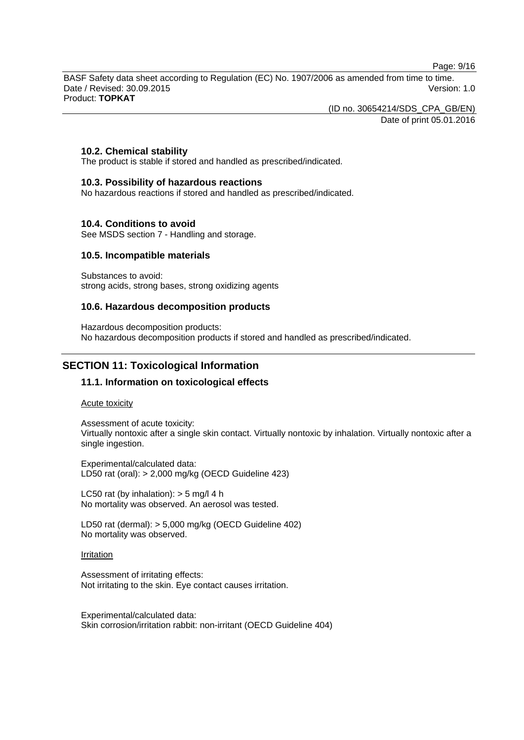Page: 9/16

BASF Safety data sheet according to Regulation (EC) No. 1907/2006 as amended from time to time. Date / Revised: 30.09.2015 Version: 1.0 Product: **TOPKAT**

(ID no. 30654214/SDS\_CPA\_GB/EN)

Date of print 05.01.2016

## **10.2. Chemical stability**

The product is stable if stored and handled as prescribed/indicated.

#### **10.3. Possibility of hazardous reactions**

No hazardous reactions if stored and handled as prescribed/indicated.

#### **10.4. Conditions to avoid**

See MSDS section 7 - Handling and storage.

#### **10.5. Incompatible materials**

Substances to avoid: strong acids, strong bases, strong oxidizing agents

#### **10.6. Hazardous decomposition products**

Hazardous decomposition products: No hazardous decomposition products if stored and handled as prescribed/indicated.

## **SECTION 11: Toxicological Information**

#### **11.1. Information on toxicological effects**

Acute toxicity

Assessment of acute toxicity: Virtually nontoxic after a single skin contact. Virtually nontoxic by inhalation. Virtually nontoxic after a single ingestion.

Experimental/calculated data: LD50 rat (oral): > 2,000 mg/kg (OECD Guideline 423)

LC50 rat (by inhalation):  $>$  5 mg/l 4 h No mortality was observed. An aerosol was tested.

LD50 rat (dermal): > 5,000 mg/kg (OECD Guideline 402) No mortality was observed.

#### Irritation

Assessment of irritating effects: Not irritating to the skin. Eye contact causes irritation.

Experimental/calculated data: Skin corrosion/irritation rabbit: non-irritant (OECD Guideline 404)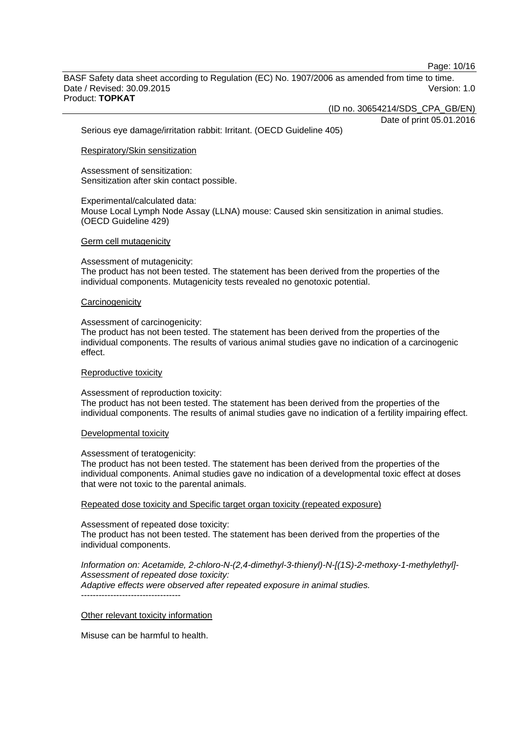Page: 10/16

BASF Safety data sheet according to Regulation (EC) No. 1907/2006 as amended from time to time. Date / Revised: 30.09.2015 Version: 1.0 Product: **TOPKAT**

(ID no. 30654214/SDS\_CPA\_GB/EN)

Date of print 05.01.2016

Serious eye damage/irritation rabbit: Irritant. (OECD Guideline 405)

#### Respiratory/Skin sensitization

Assessment of sensitization: Sensitization after skin contact possible.

#### Experimental/calculated data:

Mouse Local Lymph Node Assay (LLNA) mouse: Caused skin sensitization in animal studies. (OECD Guideline 429)

#### Germ cell mutagenicity

#### Assessment of mutagenicity:

The product has not been tested. The statement has been derived from the properties of the individual components. Mutagenicity tests revealed no genotoxic potential.

#### **Carcinogenicity**

#### Assessment of carcinogenicity:

The product has not been tested. The statement has been derived from the properties of the individual components. The results of various animal studies gave no indication of a carcinogenic effect.

#### Reproductive toxicity

#### Assessment of reproduction toxicity:

The product has not been tested. The statement has been derived from the properties of the individual components. The results of animal studies gave no indication of a fertility impairing effect.

#### Developmental toxicity

#### Assessment of teratogenicity:

The product has not been tested. The statement has been derived from the properties of the individual components. Animal studies gave no indication of a developmental toxic effect at doses that were not toxic to the parental animals.

Repeated dose toxicity and Specific target organ toxicity (repeated exposure)

#### Assessment of repeated dose toxicity:

The product has not been tested. The statement has been derived from the properties of the individual components.

#### *Information on: Acetamide, 2-chloro-N-(2,4-dimethyl-3-thienyl)-N-[(1S)-2-methoxy-1-methylethyl]- Assessment of repeated dose toxicity: Adaptive effects were observed after repeated exposure in animal studies.*

----------------------------------

#### Other relevant toxicity information

Misuse can be harmful to health.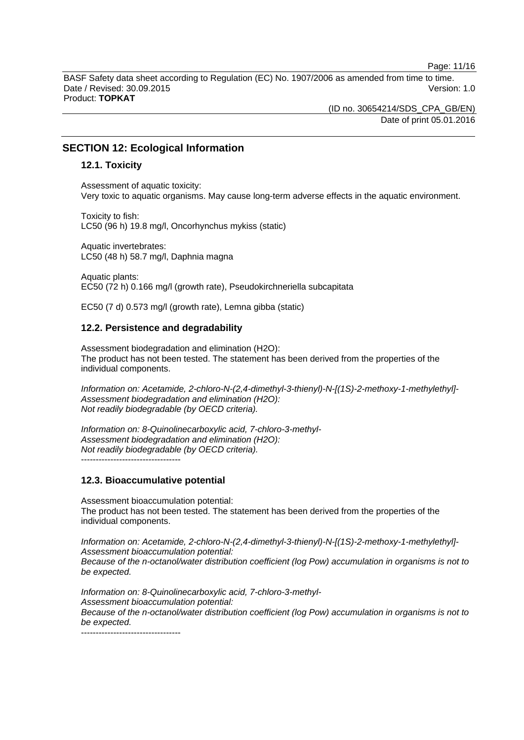Page: 11/16

BASF Safety data sheet according to Regulation (EC) No. 1907/2006 as amended from time to time. Date / Revised: 30.09.2015 Version: 1.0 Product: **TOPKAT**

> (ID no. 30654214/SDS\_CPA\_GB/EN) Date of print 05.01.2016

## **SECTION 12: Ecological Information**

#### **12.1. Toxicity**

Assessment of aquatic toxicity: Very toxic to aquatic organisms. May cause long-term adverse effects in the aquatic environment.

Toxicity to fish: LC50 (96 h) 19.8 mg/l, Oncorhynchus mykiss (static)

Aquatic invertebrates: LC50 (48 h) 58.7 mg/l, Daphnia magna

Aquatic plants: EC50 (72 h) 0.166 mg/l (growth rate), Pseudokirchneriella subcapitata

EC50 (7 d) 0.573 mg/l (growth rate), Lemna gibba (static)

#### **12.2. Persistence and degradability**

Assessment biodegradation and elimination (H2O): The product has not been tested. The statement has been derived from the properties of the individual components.

*Information on: Acetamide, 2-chloro-N-(2,4-dimethyl-3-thienyl)-N-[(1S)-2-methoxy-1-methylethyl]- Assessment biodegradation and elimination (H2O): Not readily biodegradable (by OECD criteria).*

*Information on: 8-Quinolinecarboxylic acid, 7-chloro-3-methyl-Assessment biodegradation and elimination (H2O): Not readily biodegradable (by OECD criteria).* ----------------------------------

**12.3. Bioaccumulative potential**

Assessment bioaccumulation potential: The product has not been tested. The statement has been derived from the properties of the individual components.

*Information on: Acetamide, 2-chloro-N-(2,4-dimethyl-3-thienyl)-N-[(1S)-2-methoxy-1-methylethyl]- Assessment bioaccumulation potential: Because of the n-octanol/water distribution coefficient (log Pow) accumulation in organisms is not to be expected.*

*Information on: 8-Quinolinecarboxylic acid, 7-chloro-3-methyl-Assessment bioaccumulation potential: Because of the n-octanol/water distribution coefficient (log Pow) accumulation in organisms is not to be expected.*

----------------------------------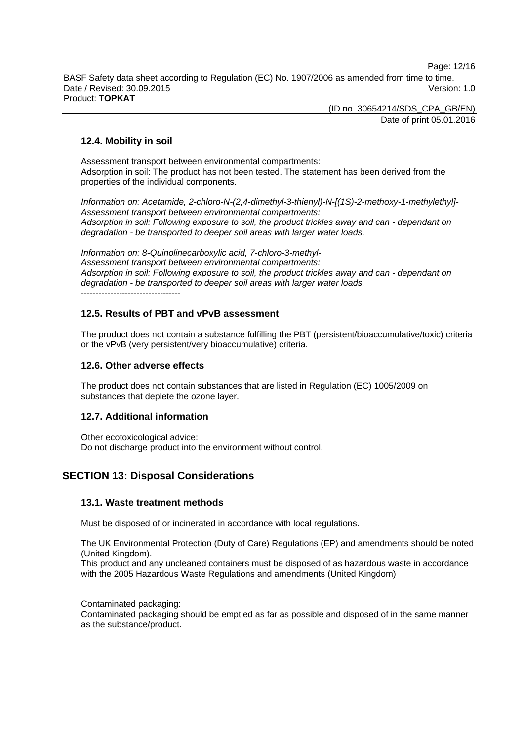Page: 12/16

BASF Safety data sheet according to Regulation (EC) No. 1907/2006 as amended from time to time. Date / Revised: 30.09.2015 Version: 1.0 Product: **TOPKAT**

> (ID no. 30654214/SDS\_CPA\_GB/EN) Date of print 05.01.2016

## **12.4. Mobility in soil**

Assessment transport between environmental compartments: Adsorption in soil: The product has not been tested. The statement has been derived from the properties of the individual components.

*Information on: Acetamide, 2-chloro-N-(2,4-dimethyl-3-thienyl)-N-[(1S)-2-methoxy-1-methylethyl]- Assessment transport between environmental compartments: Adsorption in soil: Following exposure to soil, the product trickles away and can - dependant on degradation - be transported to deeper soil areas with larger water loads.*

*Information on: 8-Quinolinecarboxylic acid, 7-chloro-3-methyl-Assessment transport between environmental compartments: Adsorption in soil: Following exposure to soil, the product trickles away and can - dependant on degradation - be transported to deeper soil areas with larger water loads.* ----------------------------------

## **12.5. Results of PBT and vPvB assessment**

The product does not contain a substance fulfilling the PBT (persistent/bioaccumulative/toxic) criteria or the vPvB (very persistent/very bioaccumulative) criteria.

## **12.6. Other adverse effects**

The product does not contain substances that are listed in Regulation (EC) 1005/2009 on substances that deplete the ozone layer.

## **12.7. Additional information**

Other ecotoxicological advice: Do not discharge product into the environment without control.

## **SECTION 13: Disposal Considerations**

## **13.1. Waste treatment methods**

Must be disposed of or incinerated in accordance with local regulations.

The UK Environmental Protection (Duty of Care) Regulations (EP) and amendments should be noted (United Kingdom).

This product and any uncleaned containers must be disposed of as hazardous waste in accordance with the 2005 Hazardous Waste Regulations and amendments (United Kingdom)

Contaminated packaging:

Contaminated packaging should be emptied as far as possible and disposed of in the same manner as the substance/product.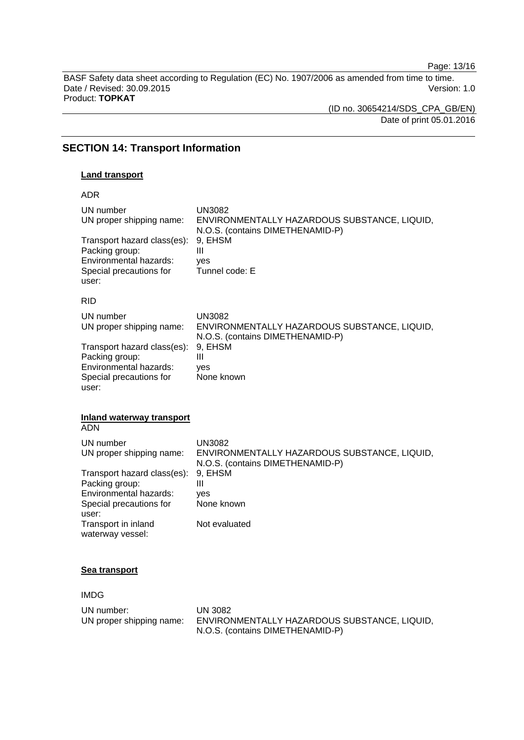Page: 13/16

BASF Safety data sheet according to Regulation (EC) No. 1907/2006 as amended from time to time. Date / Revised: 30.09.2015 Version: 1.0 Product: **TOPKAT**

(ID no. 30654214/SDS\_CPA\_GB/EN) Date of print 05.01.2016

## **SECTION 14: Transport Information**

#### **Land transport**

ADR

| UN number<br>UN proper shipping name:<br>Transport hazard class(es):<br>Packing group:<br>Environmental hazards:<br>Special precautions for<br>user: | <b>UN3082</b><br>ENVIRONMENTALLY HAZARDOUS SUBSTANCE, LIQUID,<br>N.O.S. (contains DIMETHENAMID-P)<br>9, EHSM<br>Ш<br>yes<br>Tunnel code: E |
|------------------------------------------------------------------------------------------------------------------------------------------------------|--------------------------------------------------------------------------------------------------------------------------------------------|
| <b>RID</b>                                                                                                                                           |                                                                                                                                            |
| UN number<br>UN proper shipping name:                                                                                                                | <b>UN3082</b><br>ENVIRONMENTALLY HAZARDOUS SUBSTANCE, LIQUID,<br>N.O.S. (contains DIMETHENAMID-P)                                          |
| Transport hazard class(es):<br>Packing group:<br>Environmental hazards:<br>Special precautions for<br>user:                                          | 9, EHSM<br>Ш<br>ves<br>None known                                                                                                          |
| <b>Inland waterway transport</b><br><b>ADN</b>                                                                                                       |                                                                                                                                            |
| UN number<br>UN proper shipping name:                                                                                                                | <b>UN3082</b><br>ENVIRONMENTALLY HAZARDOUS SUBSTANCE, LIQUID,<br>N.O.S. (contains DIMETHENAMID-P)                                          |
| Transport hazard class(es):<br>Packing group:                                                                                                        | 9, EHSM<br>Ш                                                                                                                               |
| Environmental hazards:<br>Special precautions for<br>user:                                                                                           | ves<br>None known                                                                                                                          |
| Transport in inland<br>waterway vessel:                                                                                                              | Not evaluated                                                                                                                              |

#### **Sea transport**

IMDG

UN number: UN 3082<br>UN proper shipping name: ENVIRON ENVIRONMENTALLY HAZARDOUS SUBSTANCE, LIQUID, N.O.S. (contains DIMETHENAMID-P)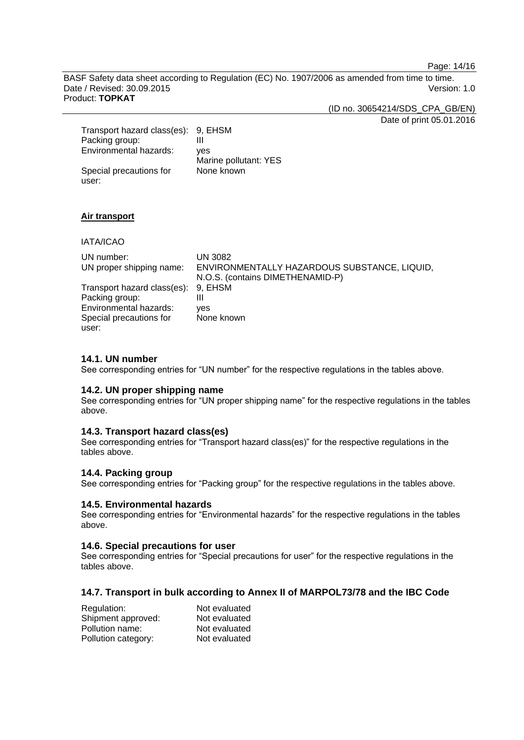Page: 14/16

BASF Safety data sheet according to Regulation (EC) No. 1907/2006 as amended from time to time. Date / Revised: 30.09.2015 Version: 1.0 Product: **TOPKAT**

(ID no. 30654214/SDS\_CPA\_GB/EN)

Date of print 05.01.2016

| Transport hazard class(es): 9, EHSM |                       |
|-------------------------------------|-----------------------|
| Packing group:                      |                       |
| Environmental hazards:              | ves                   |
|                                     | Marine pollutant: YES |
| Special precautions for             | None known            |
| user:                               |                       |

## **Air transport**

IATA/ICAO

| UN number:<br>UN proper shipping name: | UN 3082<br>ENVIRONMENTALLY HAZARDOUS SUBSTANCE, LIQUID,<br>N.O.S. (contains DIMETHENAMID-P) |
|----------------------------------------|---------------------------------------------------------------------------------------------|
| Transport hazard class(es): 9, EHSM    |                                                                                             |
| Packing group:                         | Ш                                                                                           |
| Environmental hazards:                 | ves                                                                                         |
| Special precautions for                | None known                                                                                  |
| user:                                  |                                                                                             |

#### **14.1. UN number**

See corresponding entries for "UN number" for the respective regulations in the tables above.

#### **14.2. UN proper shipping name**

See corresponding entries for "UN proper shipping name" for the respective regulations in the tables above.

#### **14.3. Transport hazard class(es)**

See corresponding entries for "Transport hazard class(es)" for the respective regulations in the tables above.

#### **14.4. Packing group**

See corresponding entries for "Packing group" for the respective regulations in the tables above.

#### **14.5. Environmental hazards**

See corresponding entries for "Environmental hazards" for the respective regulations in the tables above.

#### **14.6. Special precautions for user**

See corresponding entries for "Special precautions for user" for the respective regulations in the tables above.

#### **14.7. Transport in bulk according to Annex II of MARPOL73/78 and the IBC Code**

| Regulation:         | Not evaluated |
|---------------------|---------------|
| Shipment approved:  | Not evaluated |
| Pollution name:     | Not evaluated |
| Pollution category: | Not evaluated |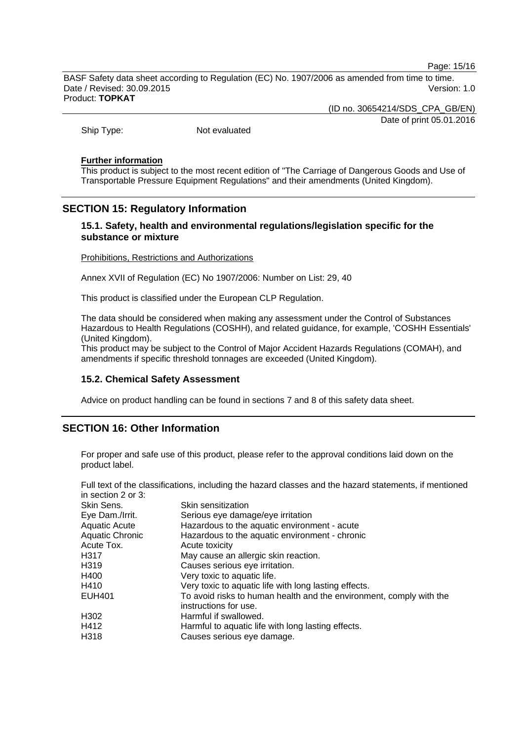Page: 15/16

BASF Safety data sheet according to Regulation (EC) No. 1907/2006 as amended from time to time. Date / Revised: 30.09.2015 Version: 1.0 Product: **TOPKAT**

(ID no. 30654214/SDS\_CPA\_GB/EN)

Date of print 05.01.2016

Ship Type: Not evaluated

#### **Further information**

This product is subject to the most recent edition of "The Carriage of Dangerous Goods and Use of Transportable Pressure Equipment Regulations" and their amendments (United Kingdom).

## **SECTION 15: Regulatory Information**

## **15.1. Safety, health and environmental regulations/legislation specific for the substance or mixture**

#### Prohibitions, Restrictions and Authorizations

Annex XVII of Regulation (EC) No 1907/2006: Number on List: 29, 40

This product is classified under the European CLP Regulation.

The data should be considered when making any assessment under the Control of Substances Hazardous to Health Regulations (COSHH), and related guidance, for example, 'COSHH Essentials' (United Kingdom).

This product may be subject to the Control of Major Accident Hazards Regulations (COMAH), and amendments if specific threshold tonnages are exceeded (United Kingdom).

#### **15.2. Chemical Safety Assessment**

Advice on product handling can be found in sections 7 and 8 of this safety data sheet.

## **SECTION 16: Other Information**

For proper and safe use of this product, please refer to the approval conditions laid down on the product label.

Full text of the classifications, including the hazard classes and the hazard statements, if mentioned in section 2 or 3:

| Skin Sens.             | Skin sensitization                                                                           |
|------------------------|----------------------------------------------------------------------------------------------|
| Eye Dam./Irrit.        | Serious eye damage/eye irritation                                                            |
| <b>Aquatic Acute</b>   | Hazardous to the aquatic environment - acute                                                 |
| <b>Aquatic Chronic</b> | Hazardous to the aquatic environment - chronic                                               |
| Acute Tox.             | Acute toxicity                                                                               |
| H317                   | May cause an allergic skin reaction.                                                         |
| H319                   | Causes serious eye irritation.                                                               |
| H400                   | Very toxic to aquatic life.                                                                  |
| H410                   | Very toxic to aquatic life with long lasting effects.                                        |
| <b>EUH401</b>          | To avoid risks to human health and the environment, comply with the<br>instructions for use. |
| H302                   | Harmful if swallowed.                                                                        |
| H412                   | Harmful to aquatic life with long lasting effects.                                           |
| H318                   | Causes serious eye damage.                                                                   |
|                        |                                                                                              |